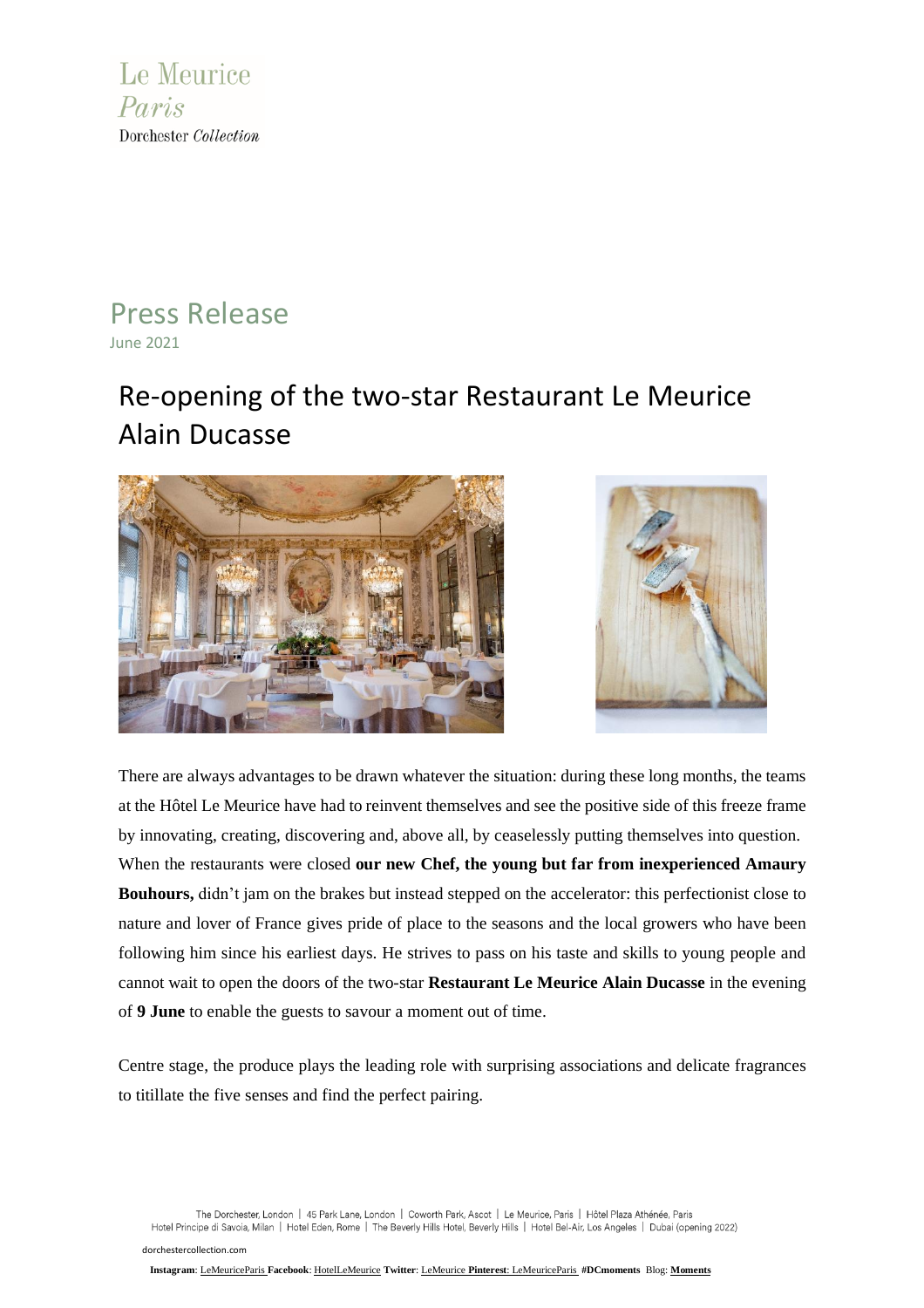

### Press Release June 2021

## Re-opening of the two-star Restaurant Le Meurice Alain Ducasse





There are always advantages to be drawn whatever the situation: during these long months, the teams at the Hôtel Le Meurice have had to reinvent themselves and see the positive side of this freeze frame by innovating, creating, discovering and, above all, by ceaselessly putting themselves into question. When the restaurants were closed **our new Chef, the young but far from inexperienced Amaury Bouhours,** didn't jam on the brakes but instead stepped on the accelerator: this perfectionist close to nature and lover of France gives pride of place to the seasons and the local growers who have been following him since his earliest days. He strives to pass on his taste and skills to young people and cannot wait to open the doors of the two-star **Restaurant Le Meurice Alain Ducasse** in the evening of **9 June** to enable the guests to savour a moment out of time.

Centre stage, the produce plays the leading role with surprising associations and delicate fragrances to titillate the five senses and find the perfect pairing.

The Dorchester, London | 45 Park Lane, London | Coworth Park, Ascot | Le Meurice, Paris | Hôtel Plaza Athénée, Paris Hotel Principe di Savoia, Milan | Hotel Eden, Rome | The Beverly Hills Hotel, Beverly Hills | Hotel Bel-Air, Los Angeles | Dubai (opening 2022)

[dorchestercollection.com](http://www.dorchestercollection.com/)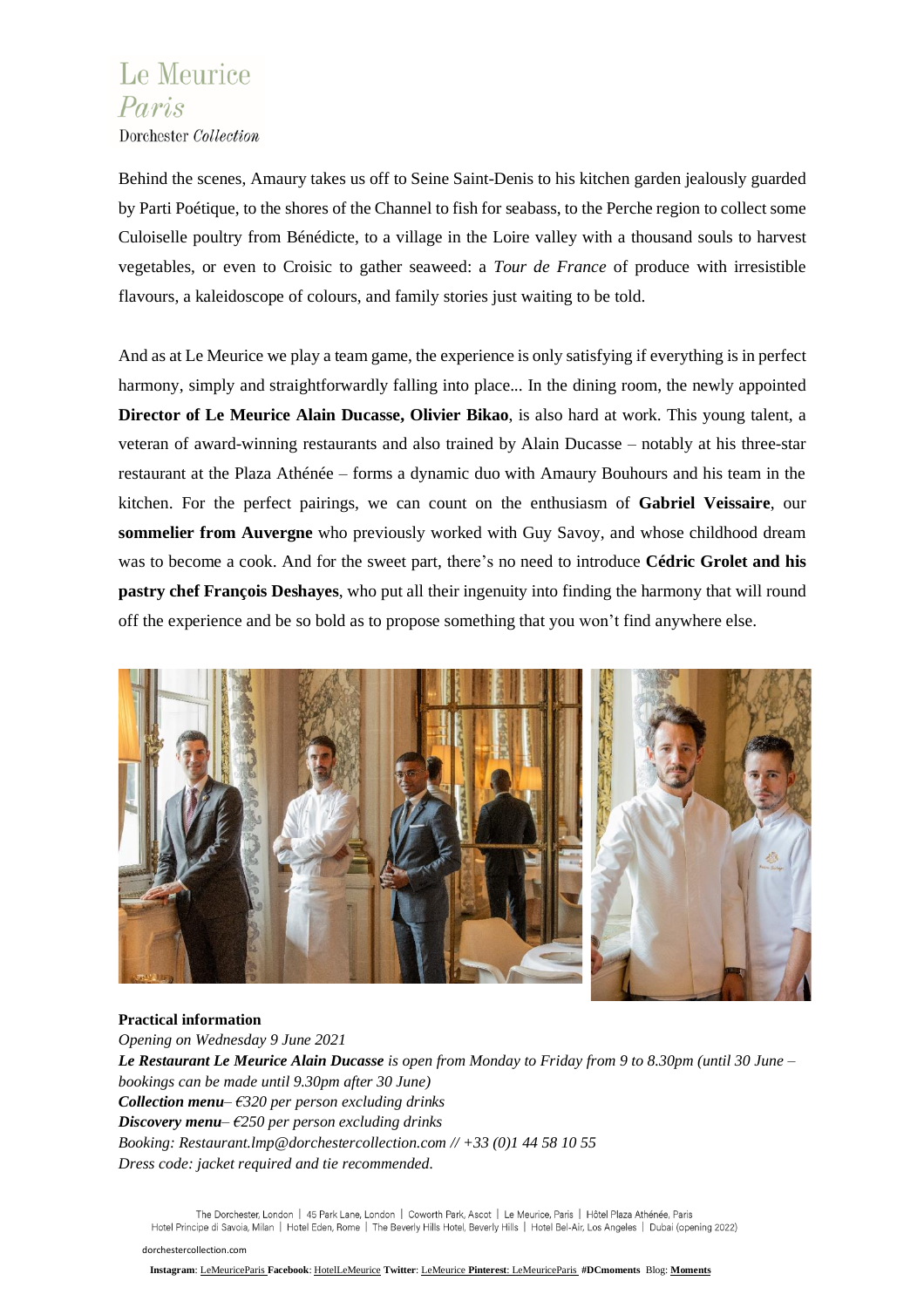# Le Meurice Paris

Dorchester Collection

Behind the scenes, Amaury takes us off to Seine Saint-Denis to his kitchen garden jealously guarded by Parti Poétique, to the shores of the Channel to fish for seabass, to the Perche region to collect some Culoiselle poultry from Bénédicte, to a village in the Loire valley with a thousand souls to harvest vegetables, or even to Croisic to gather seaweed: a *Tour de France* of produce with irresistible flavours, a kaleidoscope of colours, and family stories just waiting to be told.

And as at Le Meurice we play a team game, the experience is only satisfying if everything is in perfect harmony, simply and straightforwardly falling into place... In the dining room, the newly appointed **Director of Le Meurice Alain Ducasse, Olivier Bikao**, is also hard at work. This young talent, a veteran of award-winning restaurants and also trained by Alain Ducasse – notably at his three-star restaurant at the Plaza Athénée – forms a dynamic duo with Amaury Bouhours and his team in the kitchen. For the perfect pairings, we can count on the enthusiasm of **Gabriel Veissaire**, our **sommelier from Auvergne** who previously worked with Guy Savoy, and whose childhood dream was to become a cook. And for the sweet part, there's no need to introduce **Cédric Grolet and his pastry chef François Deshayes**, who put all their ingenuity into finding the harmony that will round off the experience and be so bold as to propose something that you won't find anywhere else.



### **Practical information**

*Opening on Wednesday 9 June 2021* Le Restaurant Le Meurice Alain Ducasse is open from Monday to Friday from 9 to 8.30pm (until 30 June *bookings can be made until 9.30pm after 30 June) Collection menu– €320 per person excluding drinks Discovery menu– €250 per person excluding drinks Booking: Restaurant.lmp@dorchestercollection.com // +33 (0)1 44 58 10 55 Dress code: jacket required and tie recommended.*

The Dorchester, London | 45 Park Lane, London | Coworth Park, Ascot | Le Meurice, Paris | Hôtel Plaza Athénée, Paris Hotel Principe di Savoia, Milan | Hotel Eden, Rome | The Beverly Hills Hotel, Beverly Hills | Hotel Bel-Air, Los Angeles | Dubai (opening 2022)

#### [dorchestercollection.com](http://www.dorchestercollection.com/)